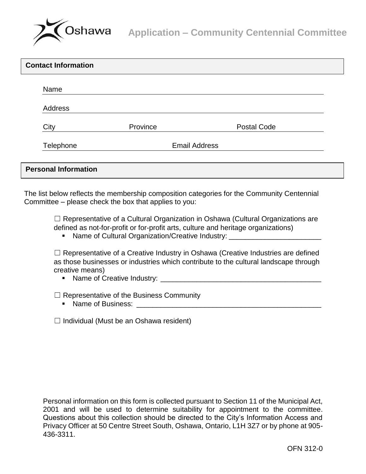

| <b>Contact Information</b>  |                      |                    |  |
|-----------------------------|----------------------|--------------------|--|
| Name                        |                      |                    |  |
| Address                     |                      |                    |  |
| City                        | Province             | <b>Postal Code</b> |  |
| Telephone                   | <b>Email Address</b> |                    |  |
| <b>Personal Information</b> |                      |                    |  |

The list below reflects the membership composition categories for the Community Centennial Committee – please check the box that applies to you:

□ Representative of a Cultural Organization in Oshawa (Cultural Organizations are defined as not-for-profit or for-profit arts, culture and heritage organizations)

■ Name of Cultural Organization/Creative Industry: \_\_\_\_\_\_\_\_\_\_\_\_\_\_\_\_\_\_\_\_\_\_\_\_\_\_\_\_\_

 $\Box$  Representative of a Creative Industry in Oshawa (Creative Industries are defined as those businesses or industries which contribute to the cultural landscape through creative means)

Name of Creative Industry: \_\_\_\_\_\_\_\_\_\_\_\_\_\_\_\_\_\_\_\_\_\_\_\_\_\_\_\_\_\_\_\_\_\_\_\_\_\_\_\_

 $\Box$  Representative of the Business Community

Name of Business: \_\_\_\_\_\_\_\_\_\_\_\_\_\_\_\_\_\_\_\_\_\_\_\_\_\_\_\_\_\_\_\_\_\_\_\_\_\_\_\_\_\_\_\_\_\_

 $\Box$  Individual (Must be an Oshawa resident)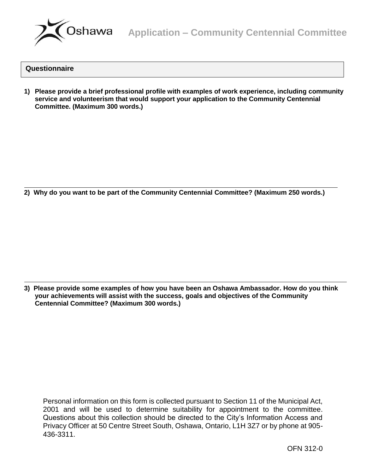

## **Questionnaire**

**1) Please provide a brief professional profile with examples of work experience, including community service and volunteerism that would support your application to the Community Centennial Committee. (Maximum 300 words.)**

**2) Why do you want to be part of the Community Centennial Committee? (Maximum 250 words.)**

**3) Please provide some examples of how you have been an Oshawa Ambassador. How do you think your achievements will assist with the success, goals and objectives of the Community Centennial Committee? (Maximum 300 words.)**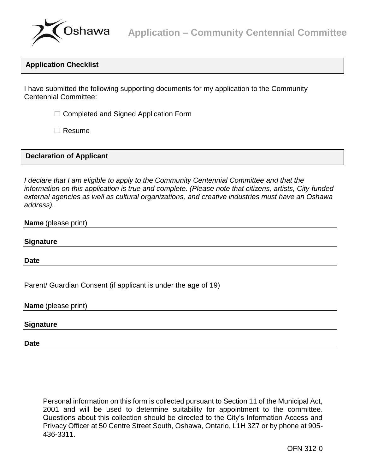

# **Application Checklist**

I have submitted the following supporting documents for my application to the Community Centennial Committee:

 $\Box$  Completed and Signed Application Form

☐ Resume

# **Declaration of Applicant**

*I declare that I am eligible to apply to the Community Centennial Committee and that the information on this application is true and complete. (Please note that citizens, artists, City-funded external agencies as well as cultural organizations, and creative industries must have an Oshawa address).*

### **Name** (please print)

### **Signature**

**Date**

Parent/ Guardian Consent (if applicant is under the age of 19)

**Name** (please print)

### **Signature**

**Date**